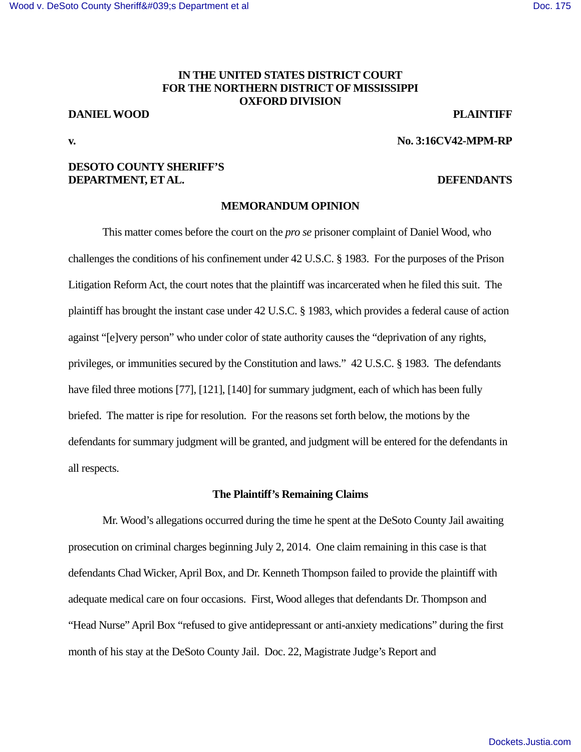# [Wood v. DeSoto County Sheriff's Department et al](https://dockets.justia.com/docket/mississippi/msndce/3:2016cv00042/37986/) **[Doc. 175](https://docs.justia.com/cases/federal/district-courts/mississippi/msndce/3:2016cv00042/37986/175/)** and Doc. 175

# **IN THE UNITED STATES DISTRICT COURT FOR THE NORTHERN DISTRICT OF MISSISSIPPI OXFORD DIVISION**

# **DANIEL WOOD PLAINTIFF**

**v. No. 3:16CV42-MPM-RP** 

# **DESOTO COUNTY SHERIFF'S DEPARTMENT, ET AL. DEFENDANTS**

## **MEMORANDUM OPINION**

 This matter comes before the court on the *pro se* prisoner complaint of Daniel Wood, who challenges the conditions of his confinement under 42 U.S.C. § 1983. For the purposes of the Prison Litigation Reform Act, the court notes that the plaintiff was incarcerated when he filed this suit. The plaintiff has brought the instant case under 42 U.S.C. § 1983, which provides a federal cause of action against "[e]very person" who under color of state authority causes the "deprivation of any rights, privileges, or immunities secured by the Constitution and laws." 42 U.S.C. § 1983. The defendants have filed three motions [77], [121], [140] for summary judgment, each of which has been fully briefed. The matter is ripe for resolution. For the reasons set forth below, the motions by the defendants for summary judgment will be granted, and judgment will be entered for the defendants in all respects.

## **The Plaintiff's Remaining Claims**

 Mr. Wood's allegations occurred during the time he spent at the DeSoto County Jail awaiting prosecution on criminal charges beginning July 2, 2014. One claim remaining in this case is that defendants Chad Wicker, April Box, and Dr. Kenneth Thompson failed to provide the plaintiff with adequate medical care on four occasions. First, Wood alleges that defendants Dr. Thompson and "Head Nurse" April Box "refused to give antidepressant or anti-anxiety medications" during the first month of his stay at the DeSoto County Jail. Doc. 22, Magistrate Judge's Report and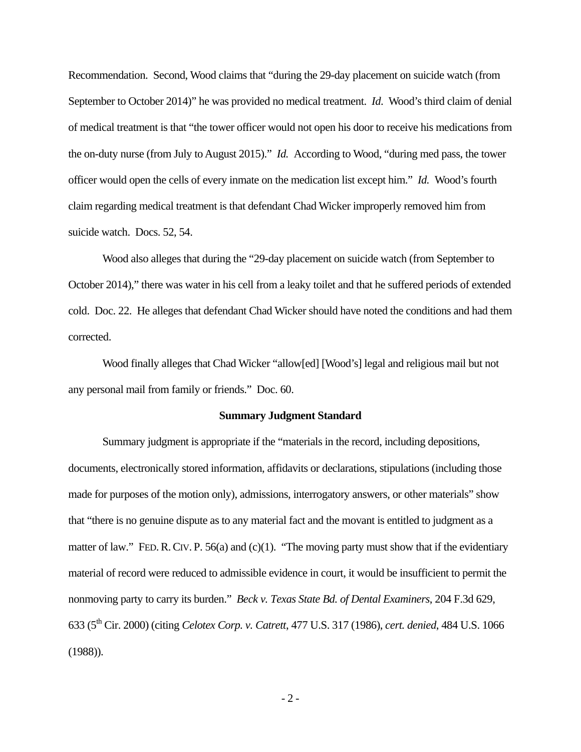Recommendation. Second, Wood claims that "during the 29-day placement on suicide watch (from September to October 2014)" he was provided no medical treatment. *Id*. Wood's third claim of denial of medical treatment is that "the tower officer would not open his door to receive his medications from the on-duty nurse (from July to August 2015)." *Id.* According to Wood, "during med pass, the tower officer would open the cells of every inmate on the medication list except him." *Id.* Wood's fourth claim regarding medical treatment is that defendant Chad Wicker improperly removed him from suicide watch. Docs. 52, 54.

 Wood also alleges that during the "29-day placement on suicide watch (from September to October 2014)," there was water in his cell from a leaky toilet and that he suffered periods of extended cold. Doc. 22. He alleges that defendant Chad Wicker should have noted the conditions and had them corrected.

 Wood finally alleges that Chad Wicker "allow[ed] [Wood's] legal and religious mail but not any personal mail from family or friends." Doc. 60.

#### **Summary Judgment Standard**

Summary judgment is appropriate if the "materials in the record, including depositions, documents, electronically stored information, affidavits or declarations, stipulations (including those made for purposes of the motion only), admissions, interrogatory answers, or other materials" show that "there is no genuine dispute as to any material fact and the movant is entitled to judgment as a matter of law." FED. R. CIV. P. 56(a) and (c)(1). "The moving party must show that if the evidentiary material of record were reduced to admissible evidence in court, it would be insufficient to permit the nonmoving party to carry its burden." *Beck v. Texas State Bd. of Dental Examiners*, 204 F.3d 629, 633 (5th Cir. 2000) (citing *Celotex Corp. v. Catrett*, 477 U.S. 317 (1986), *cert. denied*, 484 U.S. 1066 (1988)).

 $-2-$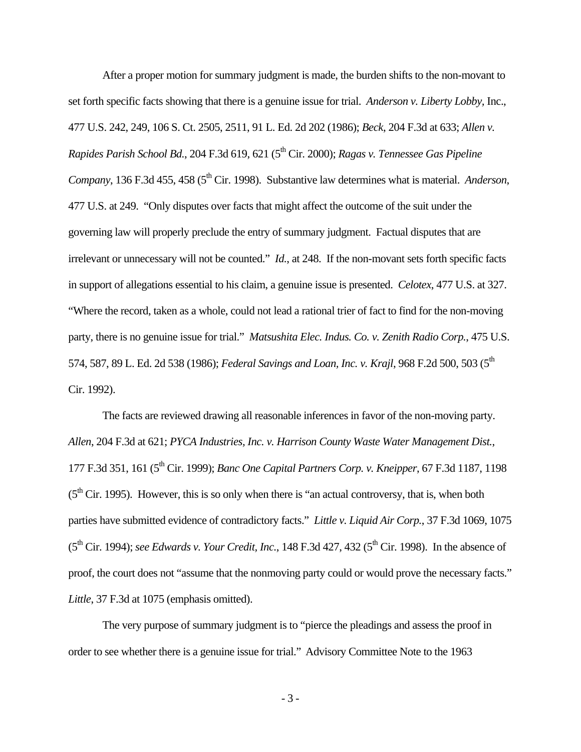After a proper motion for summary judgment is made, the burden shifts to the non-movant to set forth specific facts showing that there is a genuine issue for trial. *Anderson v. Liberty Lobby,* Inc., 477 U.S. 242, 249, 106 S. Ct. 2505, 2511, 91 L. Ed. 2d 202 (1986); *Beck*, 204 F.3d at 633; *Allen v. Rapides Parish School Bd.*, 204 F.3d 619, 621 (5th Cir. 2000); *Ragas v. Tennessee Gas Pipeline Company*, 136 F.3d 455, 458 (5<sup>th</sup> Cir. 1998). Substantive law determines what is material. *Anderson*, 477 U.S. at 249. "Only disputes over facts that might affect the outcome of the suit under the governing law will properly preclude the entry of summary judgment. Factual disputes that are irrelevant or unnecessary will not be counted." *Id.*, at 248. If the non-movant sets forth specific facts in support of allegations essential to his claim, a genuine issue is presented. *Celotex*, 477 U.S. at 327. "Where the record, taken as a whole, could not lead a rational trier of fact to find for the non-moving party, there is no genuine issue for trial." *Matsushita Elec. Indus. Co. v. Zenith Radio Corp.*, 475 U.S. 574, 587, 89 L. Ed. 2d 538 (1986); *Federal Savings and Loan, Inc. v. Krajl*, 968 F.2d 500, 503 (5<sup>th</sup> Cir. 1992).

The facts are reviewed drawing all reasonable inferences in favor of the non-moving party. *Allen*, 204 F.3d at 621; *PYCA Industries, Inc. v. Harrison County Waste Water Management Dist.*, 177 F.3d 351, 161 (5th Cir. 1999); *Banc One Capital Partners Corp. v. Kneipper*, 67 F.3d 1187, 1198  $(5<sup>th</sup> Cir. 1995)$ . However, this is so only when there is "an actual controversy, that is, when both parties have submitted evidence of contradictory facts." *Little v. Liquid Air Corp.*, 37 F.3d 1069, 1075 (5th Cir. 1994); *see Edwards v. Your Credit, Inc.*, 148 F.3d 427, 432 (5th Cir. 1998). In the absence of proof, the court does not "assume that the nonmoving party could or would prove the necessary facts." *Little*, 37 F.3d at 1075 (emphasis omitted).

The very purpose of summary judgment is to "pierce the pleadings and assess the proof in order to see whether there is a genuine issue for trial." Advisory Committee Note to the 1963

- 3 -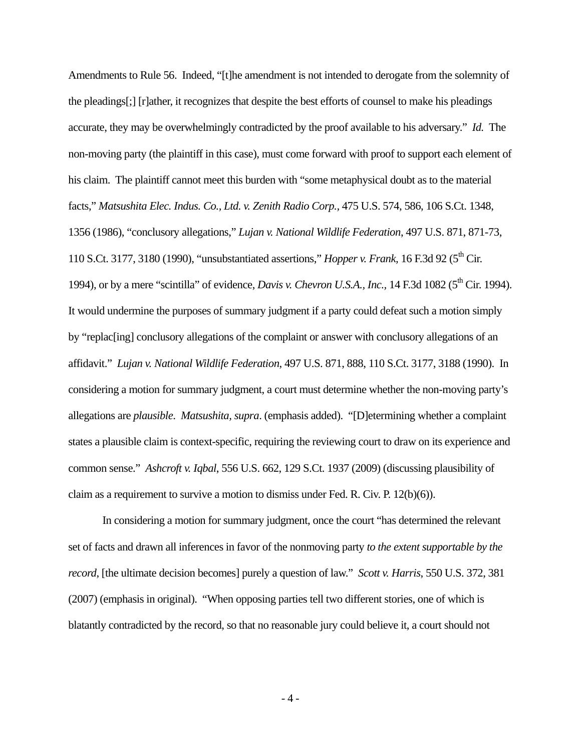Amendments to Rule 56. Indeed, "[t]he amendment is not intended to derogate from the solemnity of the pleadings[;] [r]ather, it recognizes that despite the best efforts of counsel to make his pleadings accurate, they may be overwhelmingly contradicted by the proof available to his adversary." *Id.* The non-moving party (the plaintiff in this case), must come forward with proof to support each element of his claim. The plaintiff cannot meet this burden with "some metaphysical doubt as to the material facts," *Matsushita Elec. Indus. Co., Ltd. v. Zenith Radio Corp.,* 475 U.S. 574, 586, 106 S.Ct. 1348, 1356 (1986), "conclusory allegations," *Lujan v. National Wildlife Federation*, 497 U.S. 871, 871-73, 110 S.Ct. 3177, 3180 (1990), "unsubstantiated assertions," *Hopper v. Frank*, 16 F.3d 92 (5<sup>th</sup> Cir. 1994), or by a mere "scintilla" of evidence, *Davis v. Chevron U.S.A., Inc.*, 14 F.3d 1082 (5<sup>th</sup> Cir. 1994). It would undermine the purposes of summary judgment if a party could defeat such a motion simply by "replac[ing] conclusory allegations of the complaint or answer with conclusory allegations of an affidavit." *Lujan v. National Wildlife Federation*, 497 U.S. 871, 888, 110 S.Ct. 3177, 3188 (1990). In considering a motion for summary judgment, a court must determine whether the non-moving party's allegations are *plausible*. *Matsushita, supra*. (emphasis added). "[D]etermining whether a complaint states a plausible claim is context-specific, requiring the reviewing court to draw on its experience and common sense." *Ashcroft v. Iqbal*, 556 U.S. 662, 129 S.Ct. 1937 (2009) (discussing plausibility of claim as a requirement to survive a motion to dismiss under Fed. R. Civ. P.  $12(b)(6)$ ).

In considering a motion for summary judgment, once the court "has determined the relevant set of facts and drawn all inferences in favor of the nonmoving party *to the extent supportable by the record*, [the ultimate decision becomes] purely a question of law." *Scott v. Harris*, 550 U.S. 372, 381 (2007) (emphasis in original). "When opposing parties tell two different stories, one of which is blatantly contradicted by the record, so that no reasonable jury could believe it, a court should not

 $-4-$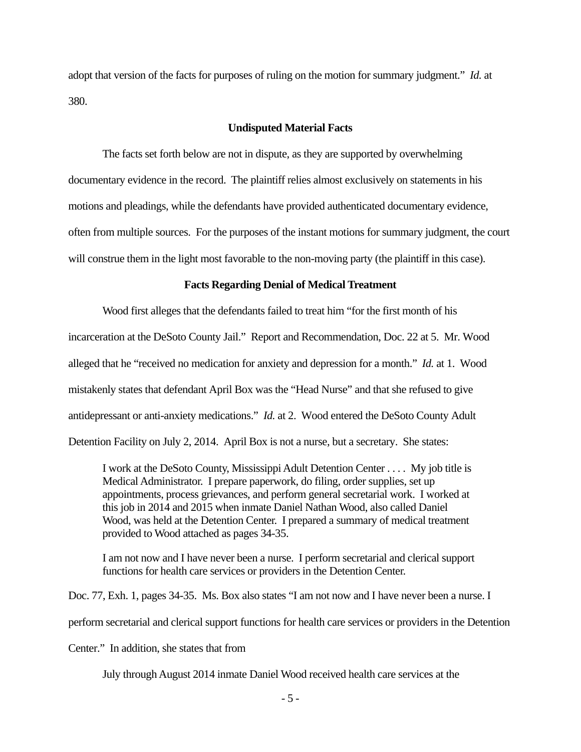adopt that version of the facts for purposes of ruling on the motion for summary judgment." *Id.* at 380.

### **Undisputed Material Facts**

The facts set forth below are not in dispute, as they are supported by overwhelming documentary evidence in the record. The plaintiff relies almost exclusively on statements in his motions and pleadings, while the defendants have provided authenticated documentary evidence, often from multiple sources. For the purposes of the instant motions for summary judgment, the court will construe them in the light most favorable to the non-moving party (the plaintiff in this case).

### **Facts Regarding Denial of Medical Treatment**

 Wood first alleges that the defendants failed to treat him "for the first month of his incarceration at the DeSoto County Jail." Report and Recommendation, Doc. 22 at 5. Mr. Wood alleged that he "received no medication for anxiety and depression for a month." *Id.* at 1. Wood mistakenly states that defendant April Box was the "Head Nurse" and that she refused to give antidepressant or anti-anxiety medications." *Id.* at 2. Wood entered the DeSoto County Adult Detention Facility on July 2, 2014. April Box is not a nurse, but a secretary. She states:

I work at the DeSoto County, Mississippi Adult Detention Center . . . . My job title is Medical Administrator. I prepare paperwork, do filing, order supplies, set up appointments, process grievances, and perform general secretarial work. I worked at this job in 2014 and 2015 when inmate Daniel Nathan Wood, also called Daniel Wood, was held at the Detention Center. I prepared a summary of medical treatment provided to Wood attached as pages 34-35.

I am not now and I have never been a nurse. I perform secretarial and clerical support functions for health care services or providers in the Detention Center.

Doc. 77, Exh. 1, pages 34-35. Ms. Box also states "I am not now and I have never been a nurse. I

perform secretarial and clerical support functions for health care services or providers in the Detention

Center." In addition, she states that from

July through August 2014 inmate Daniel Wood received health care services at the

- 5 -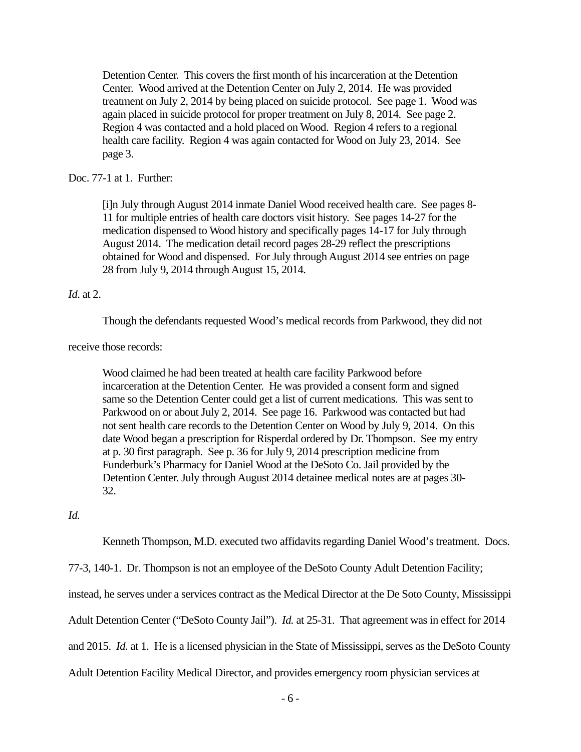Detention Center. This covers the first month of his incarceration at the Detention Center. Wood arrived at the Detention Center on July 2, 2014. He was provided treatment on July 2, 2014 by being placed on suicide protocol. See page 1. Wood was again placed in suicide protocol for proper treatment on July 8, 2014. See page 2. Region 4 was contacted and a hold placed on Wood. Region 4 refers to a regional health care facility. Region 4 was again contacted for Wood on July 23, 2014. See page 3.

## Doc. 77-1 at 1. Further:

[i]n July through August 2014 inmate Daniel Wood received health care. See pages 8- 11 for multiple entries of health care doctors visit history. See pages 14-27 for the medication dispensed to Wood history and specifically pages 14-17 for July through August 2014. The medication detail record pages 28-29 reflect the prescriptions obtained for Wood and dispensed. For July through August 2014 see entries on page 28 from July 9, 2014 through August 15, 2014.

## *Id*. at 2.

Though the defendants requested Wood's medical records from Parkwood, they did not

receive those records:

Wood claimed he had been treated at health care facility Parkwood before incarceration at the Detention Center. He was provided a consent form and signed same so the Detention Center could get a list of current medications. This was sent to Parkwood on or about July 2, 2014. See page 16. Parkwood was contacted but had not sent health care records to the Detention Center on Wood by July 9, 2014. On this date Wood began a prescription for Risperdal ordered by Dr. Thompson. See my entry at p. 30 first paragraph. See p. 36 for July 9, 2014 prescription medicine from Funderburk's Pharmacy for Daniel Wood at the DeSoto Co. Jail provided by the Detention Center. July through August 2014 detainee medical notes are at pages 30- 32.

*Id.*

Kenneth Thompson, M.D. executed two affidavits regarding Daniel Wood's treatment. Docs.

77-3, 140-1. Dr. Thompson is not an employee of the DeSoto County Adult Detention Facility;

instead, he serves under a services contract as the Medical Director at the De Soto County, Mississippi

Adult Detention Center ("DeSoto County Jail"). *Id.* at 25-31. That agreement was in effect for 2014

and 2015. *Id.* at 1.He is a licensed physician in the State of Mississippi, serves as the DeSoto County

Adult Detention Facility Medical Director, and provides emergency room physician services at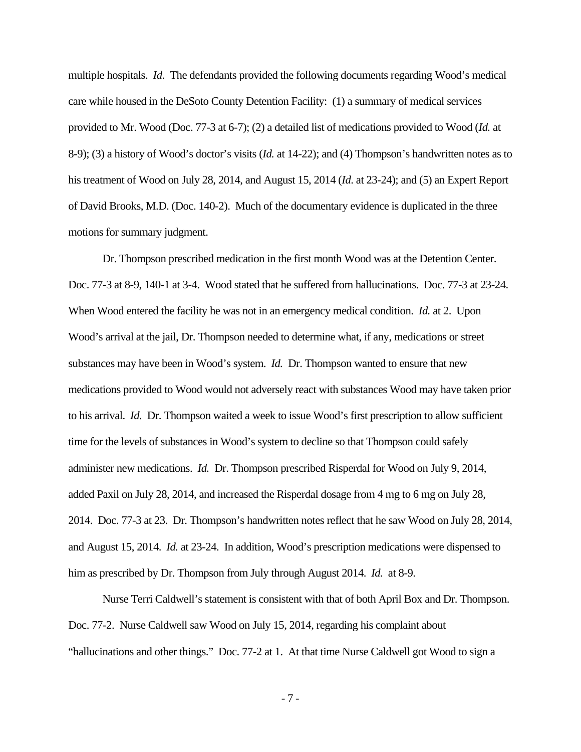multiple hospitals. *Id*. The defendants provided the following documents regarding Wood's medical care while housed in the DeSoto County Detention Facility: (1) a summary of medical services provided to Mr. Wood (Doc. 77-3 at 6-7); (2) a detailed list of medications provided to Wood (*Id.* at 8-9); (3) a history of Wood's doctor's visits (*Id.* at 14-22); and (4) Thompson's handwritten notes as to his treatment of Wood on July 28, 2014, and August 15, 2014 (*Id*. at 23-24); and (5) an Expert Report of David Brooks, M.D. (Doc. 140-2). Much of the documentary evidence is duplicated in the three motions for summary judgment.

 Dr. Thompson prescribed medication in the first month Wood was at the Detention Center. Doc. 77-3 at 8-9, 140-1 at 3-4. Wood stated that he suffered from hallucinations. Doc. 77-3 at 23-24. When Wood entered the facility he was not in an emergency medical condition. *Id.* at 2. Upon Wood's arrival at the jail, Dr. Thompson needed to determine what, if any, medications or street substances may have been in Wood's system. *Id.* Dr. Thompson wanted to ensure that new medications provided to Wood would not adversely react with substances Wood may have taken prior to his arrival. *Id.* Dr. Thompson waited a week to issue Wood's first prescription to allow sufficient time for the levels of substances in Wood's system to decline so that Thompson could safely administer new medications. *Id.* Dr. Thompson prescribed Risperdal for Wood on July 9, 2014, added Paxil on July 28, 2014, and increased the Risperdal dosage from 4 mg to 6 mg on July 28, 2014. Doc. 77-3 at 23. Dr. Thompson's handwritten notes reflect that he saw Wood on July 28, 2014, and August 15, 2014. *Id.* at 23-24. In addition, Wood's prescription medications were dispensed to him as prescribed by Dr. Thompson from July through August 2014. *Id.* at 8-9.

 Nurse Terri Caldwell's statement is consistent with that of both April Box and Dr. Thompson. Doc. 77-2. Nurse Caldwell saw Wood on July 15, 2014, regarding his complaint about "hallucinations and other things." Doc. 77-2 at 1. At that time Nurse Caldwell got Wood to sign a

- 7 -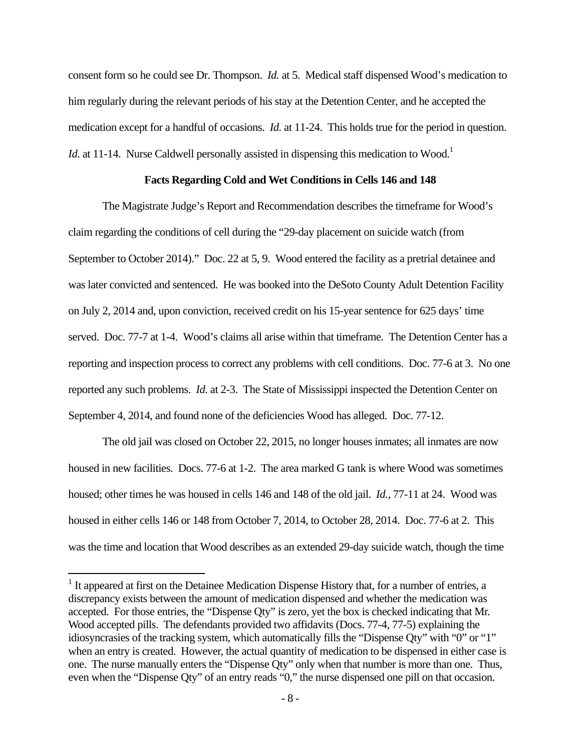consent form so he could see Dr. Thompson. *Id.* at 5. Medical staff dispensed Wood's medication to him regularly during the relevant periods of his stay at the Detention Center, and he accepted the medication except for a handful of occasions. *Id.* at 11-24. This holds true for the period in question. *Id.* at 11-14. Nurse Caldwell personally assisted in dispensing this medication to Wood.<sup>1</sup>

### **Facts Regarding Cold and Wet Conditions in Cells 146 and 148**

 The Magistrate Judge's Report and Recommendation describes the timeframe for Wood's claim regarding the conditions of cell during the "29-day placement on suicide watch (from September to October 2014)." Doc. 22 at 5, 9. Wood entered the facility as a pretrial detainee and was later convicted and sentenced. He was booked into the DeSoto County Adult Detention Facility on July 2, 2014 and, upon conviction, received credit on his 15-year sentence for 625 days' time served. Doc. 77-7 at 1-4. Wood's claims all arise within that timeframe. The Detention Center has a reporting and inspection process to correct any problems with cell conditions. Doc. 77-6 at 3. No one reported any such problems. *Id.* at 2-3. The State of Mississippi inspected the Detention Center on September 4, 2014, and found none of the deficiencies Wood has alleged. Doc. 77-12.

 The old jail was closed on October 22, 2015, no longer houses inmates; all inmates are now housed in new facilities. Docs. 77-6 at 1-2. The area marked G tank is where Wood was sometimes housed; other times he was housed in cells 146 and 148 of the old jail. *Id.*, 77-11 at 24. Wood was housed in either cells 146 or 148 from October 7, 2014, to October 28, 2014. Doc. 77-6 at 2. This was the time and location that Wood describes as an extended 29-day suicide watch, though the time

<sup>&</sup>lt;sup>1</sup> It appeared at first on the Detainee Medication Dispense History that, for a number of entries, a discrepancy exists between the amount of medication dispensed and whether the medication was accepted. For those entries, the "Dispense Qty" is zero, yet the box is checked indicating that Mr. Wood accepted pills. The defendants provided two affidavits (Docs. 77-4, 77-5) explaining the idiosyncrasies of the tracking system, which automatically fills the "Dispense Qty" with "0" or "1" when an entry is created. However, the actual quantity of medication to be dispensed in either case is one. The nurse manually enters the "Dispense Qty" only when that number is more than one. Thus, even when the "Dispense Qty" of an entry reads "0," the nurse dispensed one pill on that occasion.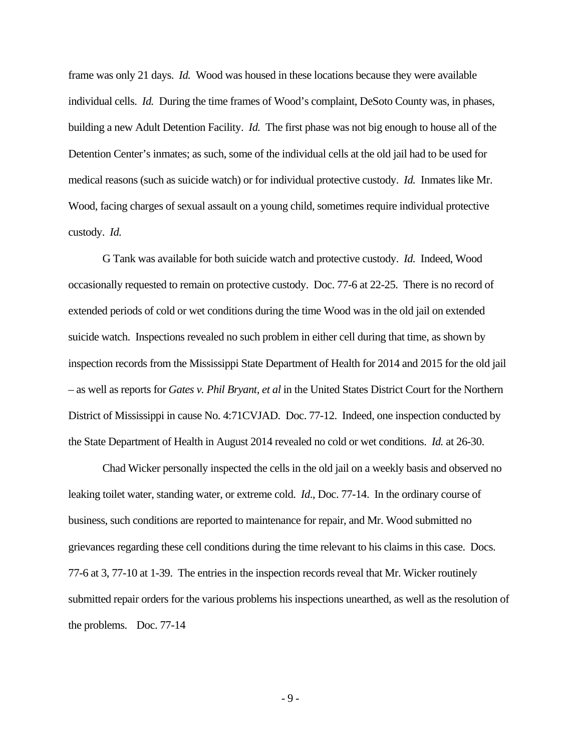frame was only 21 days. *Id.* Wood was housed in these locations because they were available individual cells. *Id.* During the time frames of Wood's complaint, DeSoto County was, in phases, building a new Adult Detention Facility. *Id.* The first phase was not big enough to house all of the Detention Center's inmates; as such, some of the individual cells at the old jail had to be used for medical reasons (such as suicide watch) or for individual protective custody. *Id.* Inmates like Mr. Wood, facing charges of sexual assault on a young child, sometimes require individual protective custody. *Id.*

 G Tank was available for both suicide watch and protective custody. *Id.* Indeed, Wood occasionally requested to remain on protective custody. Doc. 77-6 at 22-25. There is no record of extended periods of cold or wet conditions during the time Wood was in the old jail on extended suicide watch. Inspections revealed no such problem in either cell during that time, as shown by inspection records from the Mississippi State Department of Health for 2014 and 2015 for the old jail – as well as reports for *Gates v. Phil Bryant, et al* in the United States District Court for the Northern District of Mississippi in cause No. 4:71CVJAD. Doc. 77-12. Indeed, one inspection conducted by the State Department of Health in August 2014 revealed no cold or wet conditions. *Id.* at 26-30.

 Chad Wicker personally inspected the cells in the old jail on a weekly basis and observed no leaking toilet water, standing water, or extreme cold. *Id*., Doc. 77-14. In the ordinary course of business, such conditions are reported to maintenance for repair, and Mr. Wood submitted no grievances regarding these cell conditions during the time relevant to his claims in this case. Docs. 77-6 at 3, 77-10 at 1-39. The entries in the inspection records reveal that Mr. Wicker routinely submitted repair orders for the various problems his inspections unearthed, as well as the resolution of the problems. Doc. 77-14

- 9 -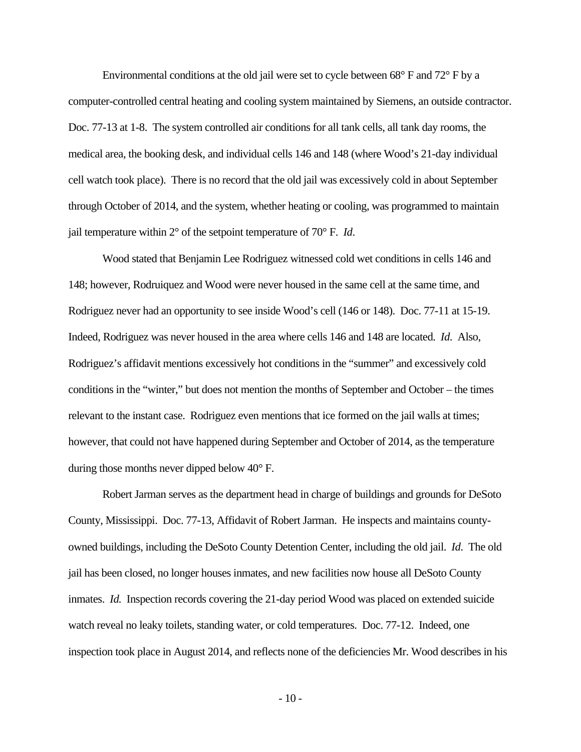Environmental conditions at the old jail were set to cycle between 68° F and 72° F by a computer-controlled central heating and cooling system maintained by Siemens, an outside contractor. Doc. 77-13 at 1-8. The system controlled air conditions for all tank cells, all tank day rooms, the medical area, the booking desk, and individual cells 146 and 148 (where Wood's 21-day individual cell watch took place). There is no record that the old jail was excessively cold in about September through October of 2014, and the system, whether heating or cooling, was programmed to maintain jail temperature within 2° of the setpoint temperature of 70° F. *Id*.

 Wood stated that Benjamin Lee Rodriguez witnessed cold wet conditions in cells 146 and 148; however, Rodruiquez and Wood were never housed in the same cell at the same time, and Rodriguez never had an opportunity to see inside Wood's cell (146 or 148). Doc. 77-11 at 15-19. Indeed, Rodriguez was never housed in the area where cells 146 and 148 are located. *Id*. Also, Rodriguez's affidavit mentions excessively hot conditions in the "summer" and excessively cold conditions in the "winter," but does not mention the months of September and October – the times relevant to the instant case. Rodriguez even mentions that ice formed on the jail walls at times; however, that could not have happened during September and October of 2014, as the temperature during those months never dipped below 40° F.

 Robert Jarman serves as the department head in charge of buildings and grounds for DeSoto County, Mississippi. Doc. 77-13, Affidavit of Robert Jarman. He inspects and maintains countyowned buildings, including the DeSoto County Detention Center, including the old jail. *Id*. The old jail has been closed, no longer houses inmates, and new facilities now house all DeSoto County inmates. *Id.* Inspection records covering the 21-day period Wood was placed on extended suicide watch reveal no leaky toilets, standing water, or cold temperatures. Doc. 77-12. Indeed, one inspection took place in August 2014, and reflects none of the deficiencies Mr. Wood describes in his

- 10 -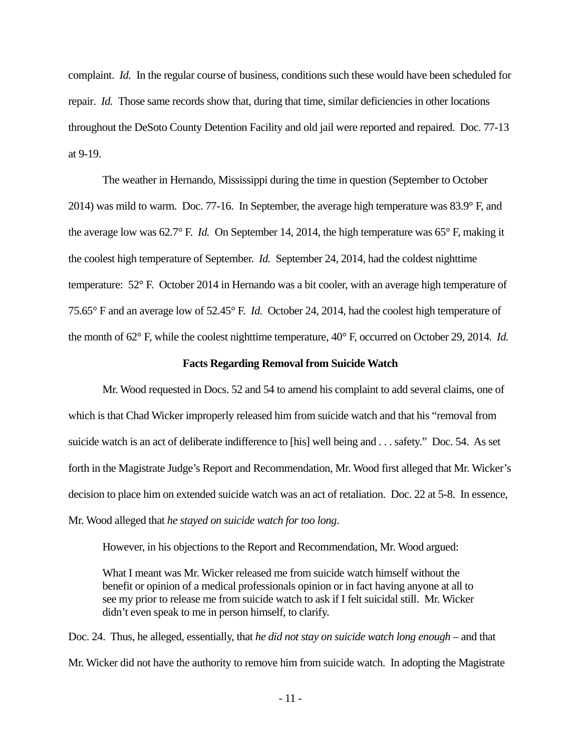complaint. *Id.* In the regular course of business, conditions such these would have been scheduled for repair. *Id.* Those same records show that, during that time, similar deficiencies in other locations throughout the DeSoto County Detention Facility and old jail were reported and repaired. Doc. 77-13 at 9-19.

 The weather in Hernando, Mississippi during the time in question (September to October 2014) was mild to warm. Doc. 77-16. In September, the average high temperature was 83.9° F, and the average low was 62.7° F. *Id.* On September 14, 2014, the high temperature was 65° F, making it the coolest high temperature of September. *Id.* September 24, 2014, had the coldest nighttime temperature: 52° F. October 2014 in Hernando was a bit cooler, with an average high temperature of 75.65° F and an average low of 52.45° F. *Id.* October 24, 2014, had the coolest high temperature of the month of 62° F, while the coolest nighttime temperature, 40° F, occurred on October 29, 2014. *Id.* 

#### **Facts Regarding Removal from Suicide Watch**

 Mr. Wood requested in Docs. 52 and 54 to amend his complaint to add several claims, one of which is that Chad Wicker improperly released him from suicide watch and that his "removal from suicide watch is an act of deliberate indifference to [his] well being and . . . safety." Doc. 54. As set forth in the Magistrate Judge's Report and Recommendation, Mr. Wood first alleged that Mr. Wicker's decision to place him on extended suicide watch was an act of retaliation. Doc. 22 at 5-8. In essence, Mr. Wood alleged that *he stayed on suicide watch for too long*.

However, in his objections to the Report and Recommendation, Mr. Wood argued:

What I meant was Mr. Wicker released me from suicide watch himself without the benefit or opinion of a medical professionals opinion or in fact having anyone at all to see my prior to release me from suicide watch to ask if I felt suicidal still. Mr. Wicker didn't even speak to me in person himself, to clarify.

Doc. 24. Thus, he alleged, essentially, that *he did not stay on suicide watch long enough* – and that Mr. Wicker did not have the authority to remove him from suicide watch. In adopting the Magistrate

- 11 -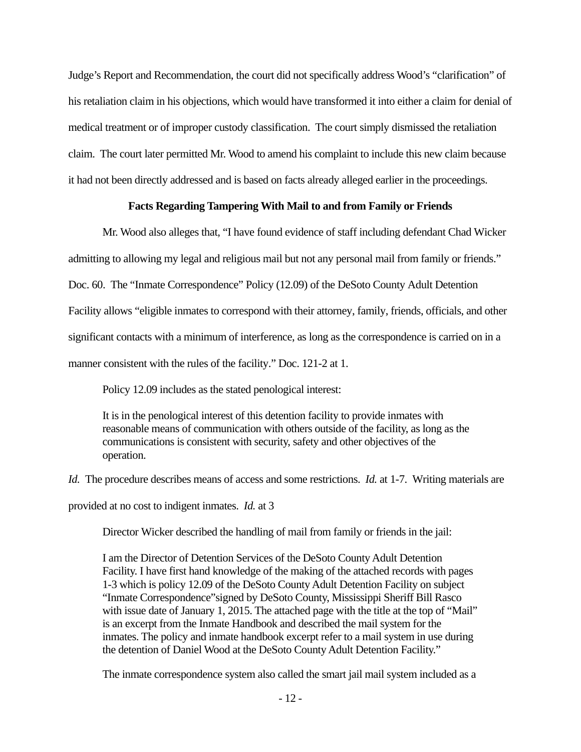Judge's Report and Recommendation, the court did not specifically address Wood's "clarification" of his retaliation claim in his objections, which would have transformed it into either a claim for denial of medical treatment or of improper custody classification. The court simply dismissed the retaliation claim. The court later permitted Mr. Wood to amend his complaint to include this new claim because it had not been directly addressed and is based on facts already alleged earlier in the proceedings.

## **Facts Regarding Tampering With Mail to and from Family or Friends**

 Mr. Wood also alleges that, "I have found evidence of staff including defendant Chad Wicker admitting to allowing my legal and religious mail but not any personal mail from family or friends." Doc. 60. The "Inmate Correspondence" Policy (12.09) of the DeSoto County Adult Detention Facility allows "eligible inmates to correspond with their attorney, family, friends, officials, and other significant contacts with a minimum of interference, as long as the correspondence is carried on in a manner consistent with the rules of the facility." Doc. 121-2 at 1.

Policy 12.09 includes as the stated penological interest:

It is in the penological interest of this detention facility to provide inmates with reasonable means of communication with others outside of the facility, as long as the communications is consistent with security, safety and other objectives of the operation.

*Id.* The procedure describes means of access and some restrictions. *Id.* at 1-7. Writing materials are

provided at no cost to indigent inmates. *Id.* at 3

Director Wicker described the handling of mail from family or friends in the jail:

I am the Director of Detention Services of the DeSoto County Adult Detention Facility. I have first hand knowledge of the making of the attached records with pages 1-3 which is policy 12.09 of the DeSoto County Adult Detention Facility on subject "Inmate Correspondence"signed by DeSoto County, Mississippi Sheriff Bill Rasco with issue date of January 1, 2015. The attached page with the title at the top of "Mail" is an excerpt from the Inmate Handbook and described the mail system for the inmates. The policy and inmate handbook excerpt refer to a mail system in use during the detention of Daniel Wood at the DeSoto County Adult Detention Facility."

The inmate correspondence system also called the smart jail mail system included as a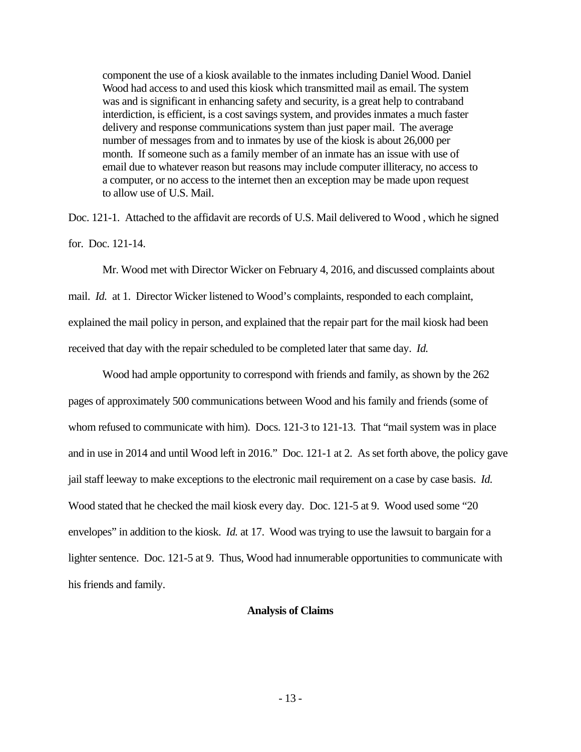component the use of a kiosk available to the inmates including Daniel Wood. Daniel Wood had access to and used this kiosk which transmitted mail as email. The system was and is significant in enhancing safety and security, is a great help to contraband interdiction, is efficient, is a cost savings system, and provides inmates a much faster delivery and response communications system than just paper mail. The average number of messages from and to inmates by use of the kiosk is about 26,000 per month. If someone such as a family member of an inmate has an issue with use of email due to whatever reason but reasons may include computer illiteracy, no access to a computer, or no access to the internet then an exception may be made upon request to allow use of U.S. Mail.

Doc. 121-1. Attached to the affidavit are records of U.S. Mail delivered to Wood , which he signed for. Doc. 121-14.

 Mr. Wood met with Director Wicker on February 4, 2016, and discussed complaints about mail. *Id.* at 1. Director Wicker listened to Wood's complaints, responded to each complaint, explained the mail policy in person, and explained that the repair part for the mail kiosk had been received that day with the repair scheduled to be completed later that same day. *Id.*

 Wood had ample opportunity to correspond with friends and family, as shown by the 262 pages of approximately 500 communications between Wood and his family and friends (some of whom refused to communicate with him). Docs. 121-3 to 121-13. That "mail system was in place and in use in 2014 and until Wood left in 2016." Doc. 121-1 at 2. As set forth above, the policy gave jail staff leeway to make exceptions to the electronic mail requirement on a case by case basis. *Id.*  Wood stated that he checked the mail kiosk every day. Doc. 121-5 at 9. Wood used some "20 envelopes" in addition to the kiosk. *Id.* at 17. Wood was trying to use the lawsuit to bargain for a lighter sentence. Doc. 121-5 at 9. Thus, Wood had innumerable opportunities to communicate with his friends and family.

#### **Analysis of Claims**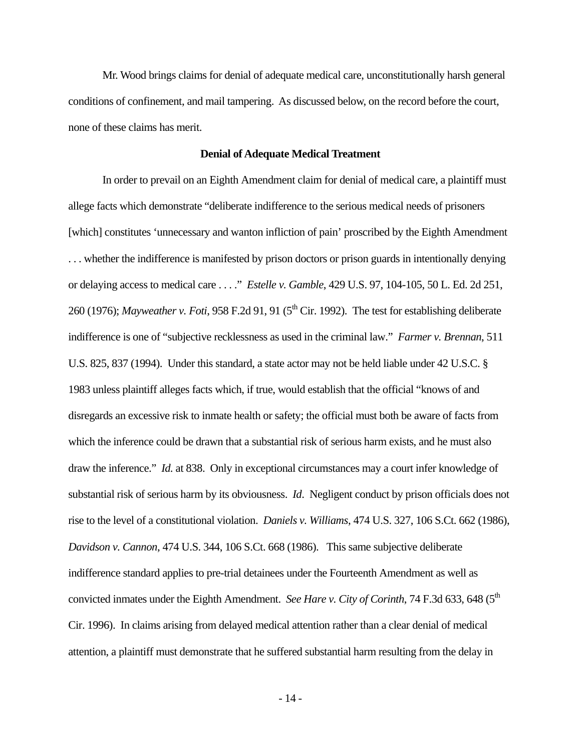Mr. Wood brings claims for denial of adequate medical care, unconstitutionally harsh general conditions of confinement, and mail tampering. As discussed below, on the record before the court, none of these claims has merit.

#### **Denial of Adequate Medical Treatment**

 In order to prevail on an Eighth Amendment claim for denial of medical care, a plaintiff must allege facts which demonstrate "deliberate indifference to the serious medical needs of prisoners [which] constitutes 'unnecessary and wanton infliction of pain' proscribed by the Eighth Amendment . . . whether the indifference is manifested by prison doctors or prison guards in intentionally denying or delaying access to medical care . . . ." *Estelle v. Gamble*, 429 U.S. 97, 104-105, 50 L. Ed. 2d 251, 260 (1976); *Mayweather v. Foti*, 958 F.2d 91, 91 (5<sup>th</sup> Cir. 1992). The test for establishing deliberate indifference is one of "subjective recklessness as used in the criminal law." *Farmer v. Brennan*, 511 U.S. 825, 837 (1994). Under this standard, a state actor may not be held liable under 42 U.S.C. § 1983 unless plaintiff alleges facts which, if true, would establish that the official "knows of and disregards an excessive risk to inmate health or safety; the official must both be aware of facts from which the inference could be drawn that a substantial risk of serious harm exists, and he must also draw the inference." *Id.* at 838. Only in exceptional circumstances may a court infer knowledge of substantial risk of serious harm by its obviousness. *Id*. Negligent conduct by prison officials does not rise to the level of a constitutional violation. *Daniels v. Williams*, 474 U.S. 327, 106 S.Ct. 662 (1986), *Davidson v. Cannon*, 474 U.S. 344, 106 S.Ct. 668 (1986). This same subjective deliberate indifference standard applies to pre-trial detainees under the Fourteenth Amendment as well as convicted inmates under the Eighth Amendment. *See Hare v. City of Corinth*, 74 F.3d 633, 648 (5<sup>th</sup> Cir. 1996). In claims arising from delayed medical attention rather than a clear denial of medical attention, a plaintiff must demonstrate that he suffered substantial harm resulting from the delay in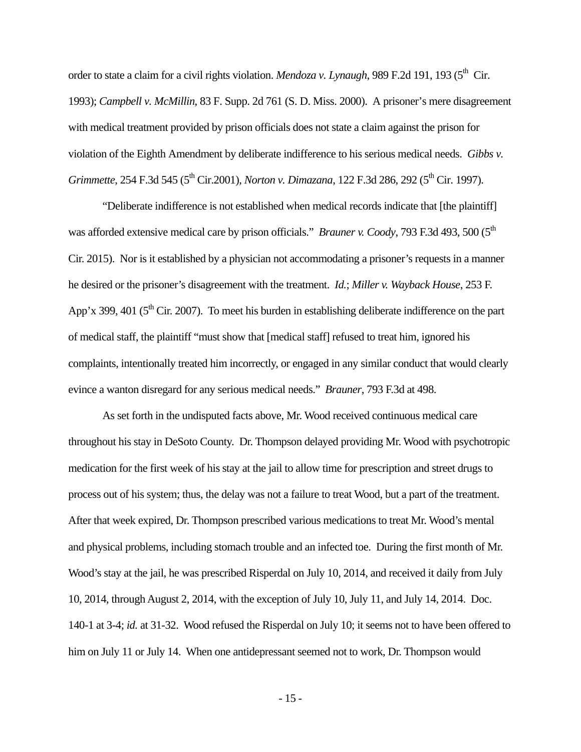order to state a claim for a civil rights violation. *Mendoza v. Lynaugh*, 989 F.2d 191, 193 (5<sup>th</sup> Cir. 1993); *Campbell v. McMillin*, 83 F. Supp. 2d 761 (S. D. Miss. 2000).A prisoner's mere disagreement with medical treatment provided by prison officials does not state a claim against the prison for violation of the Eighth Amendment by deliberate indifference to his serious medical needs. *Gibbs v. Grimmette*, 254 F.3d 545 (5<sup>th</sup> Cir.2001), *Norton v. Dimazana*, 122 F.3d 286, 292 (5<sup>th</sup> Cir. 1997).

 "Deliberate indifference is not established when medical records indicate that [the plaintiff] was afforded extensive medical care by prison officials." *Brauner v. Coody*, 793 F.3d 493, 500 (5<sup>th</sup>) Cir. 2015). Nor is it established by a physician not accommodating a prisoner's requests in a manner he desired or the prisoner's disagreement with the treatment. *Id.*; *Miller v. Wayback House*, 253 F. App'x 399, 401 ( $5<sup>th</sup>$  Cir. 2007). To meet his burden in establishing deliberate indifference on the part of medical staff, the plaintiff "must show that [medical staff] refused to treat him, ignored his complaints, intentionally treated him incorrectly, or engaged in any similar conduct that would clearly evince a wanton disregard for any serious medical needs." *Brauner*, 793 F.3d at 498.

 As set forth in the undisputed facts above, Mr. Wood received continuous medical care throughout his stay in DeSoto County. Dr. Thompson delayed providing Mr. Wood with psychotropic medication for the first week of his stay at the jail to allow time for prescription and street drugs to process out of his system; thus, the delay was not a failure to treat Wood, but a part of the treatment. After that week expired, Dr. Thompson prescribed various medications to treat Mr. Wood's mental and physical problems, including stomach trouble and an infected toe. During the first month of Mr. Wood's stay at the jail, he was prescribed Risperdal on July 10, 2014, and received it daily from July 10, 2014, through August 2, 2014, with the exception of July 10, July 11, and July 14, 2014. Doc. 140-1 at 3-4; *id.* at 31-32. Wood refused the Risperdal on July 10; it seems not to have been offered to him on July 11 or July 14. When one antidepressant seemed not to work, Dr. Thompson would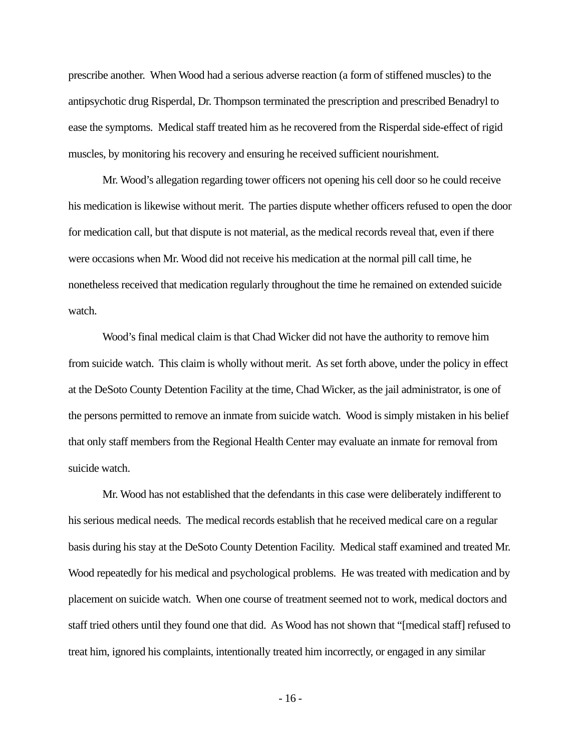prescribe another. When Wood had a serious adverse reaction (a form of stiffened muscles) to the antipsychotic drug Risperdal, Dr. Thompson terminated the prescription and prescribed Benadryl to ease the symptoms. Medical staff treated him as he recovered from the Risperdal side-effect of rigid muscles, by monitoring his recovery and ensuring he received sufficient nourishment.

 Mr. Wood's allegation regarding tower officers not opening his cell door so he could receive his medication is likewise without merit. The parties dispute whether officers refused to open the door for medication call, but that dispute is not material, as the medical records reveal that, even if there were occasions when Mr. Wood did not receive his medication at the normal pill call time, he nonetheless received that medication regularly throughout the time he remained on extended suicide watch.

 Wood's final medical claim is that Chad Wicker did not have the authority to remove him from suicide watch. This claim is wholly without merit. As set forth above, under the policy in effect at the DeSoto County Detention Facility at the time, Chad Wicker, as the jail administrator, is one of the persons permitted to remove an inmate from suicide watch. Wood is simply mistaken in his belief that only staff members from the Regional Health Center may evaluate an inmate for removal from suicide watch.

 Mr. Wood has not established that the defendants in this case were deliberately indifferent to his serious medical needs. The medical records establish that he received medical care on a regular basis during his stay at the DeSoto County Detention Facility. Medical staff examined and treated Mr. Wood repeatedly for his medical and psychological problems. He was treated with medication and by placement on suicide watch. When one course of treatment seemed not to work, medical doctors and staff tried others until they found one that did. As Wood has not shown that "[medical staff] refused to treat him, ignored his complaints, intentionally treated him incorrectly, or engaged in any similar

- 16 -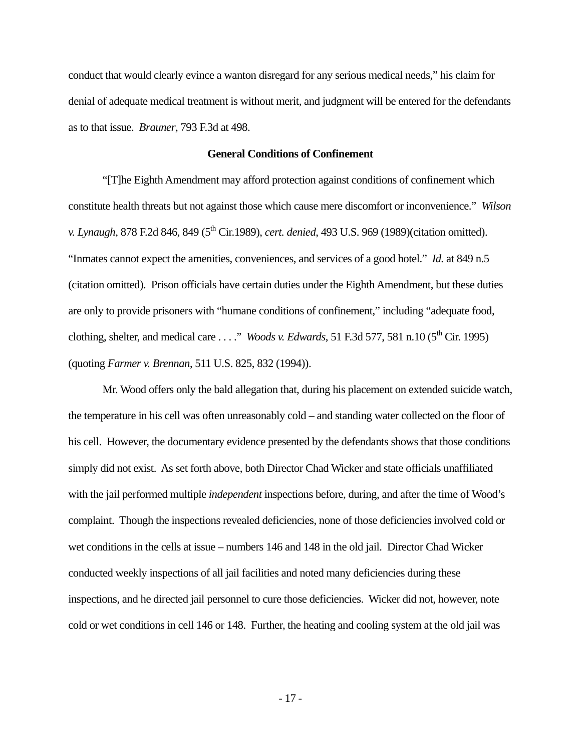conduct that would clearly evince a wanton disregard for any serious medical needs," his claim for denial of adequate medical treatment is without merit, and judgment will be entered for the defendants as to that issue. *Brauner*, 793 F.3d at 498.

#### **General Conditions of Confinement**

 "[T]he Eighth Amendment may afford protection against conditions of confinement which constitute health threats but not against those which cause mere discomfort or inconvenience." *Wilson v. Lynaugh*, 878 F.2d 846, 849 (5<sup>th</sup> Cir.1989), *cert. denied*, 493 U.S. 969 (1989)(citation omitted). "Inmates cannot expect the amenities, conveniences, and services of a good hotel." *Id.* at 849 n.5 (citation omitted). Prison officials have certain duties under the Eighth Amendment, but these duties are only to provide prisoners with "humane conditions of confinement," including "adequate food, clothing, shelter, and medical care . . . ." *Woods v. Edwards*, 51 F.3d 577, 581 n.10 (5th Cir. 1995) (quoting *Farmer v. Brennan*, 511 U.S. 825, 832 (1994)).

 Mr. Wood offers only the bald allegation that, during his placement on extended suicide watch, the temperature in his cell was often unreasonably cold – and standing water collected on the floor of his cell. However, the documentary evidence presented by the defendants shows that those conditions simply did not exist. As set forth above, both Director Chad Wicker and state officials unaffiliated with the jail performed multiple *independent* inspections before, during, and after the time of Wood's complaint. Though the inspections revealed deficiencies, none of those deficiencies involved cold or wet conditions in the cells at issue – numbers 146 and 148 in the old jail. Director Chad Wicker conducted weekly inspections of all jail facilities and noted many deficiencies during these inspections, and he directed jail personnel to cure those deficiencies. Wicker did not, however, note cold or wet conditions in cell 146 or 148. Further, the heating and cooling system at the old jail was

- 17 -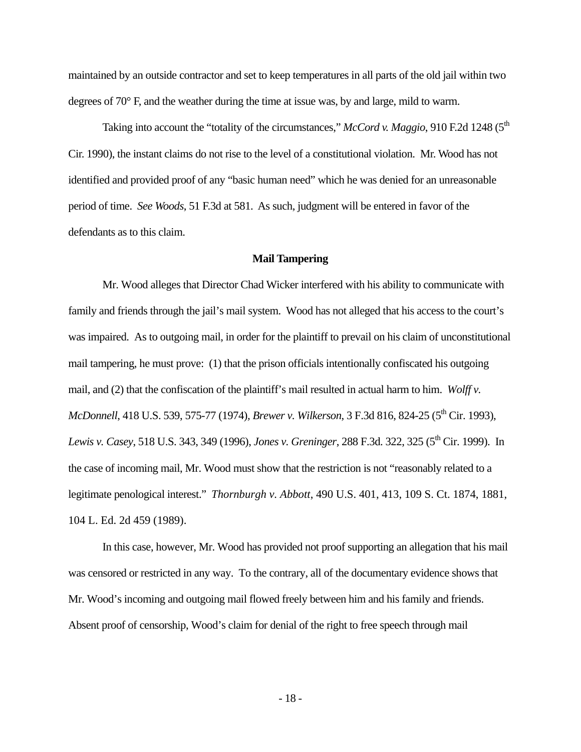maintained by an outside contractor and set to keep temperatures in all parts of the old jail within two degrees of 70° F, and the weather during the time at issue was, by and large, mild to warm.

Taking into account the "totality of the circumstances," *McCord v. Maggio*, 910 F.2d 1248 (5<sup>th</sup>) Cir. 1990), the instant claims do not rise to the level of a constitutional violation. Mr. Wood has not identified and provided proof of any "basic human need" which he was denied for an unreasonable period of time. *See Woods*, 51 F.3d at 581. As such, judgment will be entered in favor of the defendants as to this claim.

#### **Mail Tampering**

 Mr. Wood alleges that Director Chad Wicker interfered with his ability to communicate with family and friends through the jail's mail system. Wood has not alleged that his access to the court's was impaired. As to outgoing mail, in order for the plaintiff to prevail on his claim of unconstitutional mail tampering, he must prove: (1) that the prison officials intentionally confiscated his outgoing mail, and (2) that the confiscation of the plaintiff's mail resulted in actual harm to him. *Wolff v. McDonnell*, 418 U.S. 539, 575-77 (1974)*, Brewer v. Wilkerson*, 3 F.3d 816, 824-25 (5<sup>th</sup> Cir. 1993)*, Lewis v. Casey,* 518 U.S. 343, 349 (1996), *Jones v. Greninger*, 288 F.3d. 322, 325 (5<sup>th</sup> Cir. 1999). In the case of incoming mail, Mr. Wood must show that the restriction is not "reasonably related to a legitimate penological interest." *Thornburgh v. Abbott*, 490 U.S. 401, 413, 109 S. Ct. 1874, 1881, 104 L. Ed. 2d 459 (1989).

 In this case, however, Mr. Wood has provided not proof supporting an allegation that his mail was censored or restricted in any way. To the contrary, all of the documentary evidence shows that Mr. Wood's incoming and outgoing mail flowed freely between him and his family and friends. Absent proof of censorship, Wood's claim for denial of the right to free speech through mail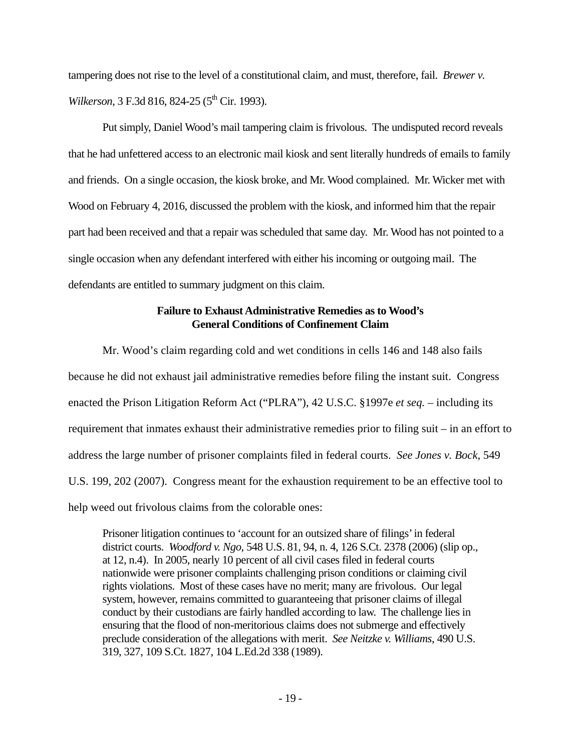tampering does not rise to the level of a constitutional claim, and must, therefore, fail. *Brewer v. Wilkerson*, 3 F.3d 816, 824-25 (5<sup>th</sup> Cir. 1993).

 Put simply, Daniel Wood's mail tampering claim is frivolous. The undisputed record reveals that he had unfettered access to an electronic mail kiosk and sent literally hundreds of emails to family and friends. On a single occasion, the kiosk broke, and Mr. Wood complained. Mr. Wicker met with Wood on February 4, 2016, discussed the problem with the kiosk, and informed him that the repair part had been received and that a repair was scheduled that same day. Mr. Wood has not pointed to a single occasion when any defendant interfered with either his incoming or outgoing mail. The defendants are entitled to summary judgment on this claim.

# **Failure to Exhaust Administrative Remedies as to Wood's General Conditions of Confinement Claim**

 Mr. Wood's claim regarding cold and wet conditions in cells 146 and 148 also fails because he did not exhaust jail administrative remedies before filing the instant suit. Congress enacted the Prison Litigation Reform Act ("PLRA"), 42 U.S.C. §1997e *et seq.* – including its requirement that inmates exhaust their administrative remedies prior to filing suit – in an effort to address the large number of prisoner complaints filed in federal courts. *See Jones v. Bock*, 549 U.S. 199, 202 (2007). Congress meant for the exhaustion requirement to be an effective tool to help weed out frivolous claims from the colorable ones:

Prisoner litigation continues to 'account for an outsized share of filings' in federal district courts. *Woodford v. Ngo*, 548 U.S. 81, 94, n. 4, 126 S.Ct. 2378 (2006) (slip op., at 12, n.4). In 2005, nearly 10 percent of all civil cases filed in federal courts nationwide were prisoner complaints challenging prison conditions or claiming civil rights violations. Most of these cases have no merit; many are frivolous. Our legal system, however, remains committed to guaranteeing that prisoner claims of illegal conduct by their custodians are fairly handled according to law. The challenge lies in ensuring that the flood of non-meritorious claims does not submerge and effectively preclude consideration of the allegations with merit. *See Neitzke v. Williams*, 490 U.S. 319, 327, 109 S.Ct. 1827, 104 L.Ed.2d 338 (1989).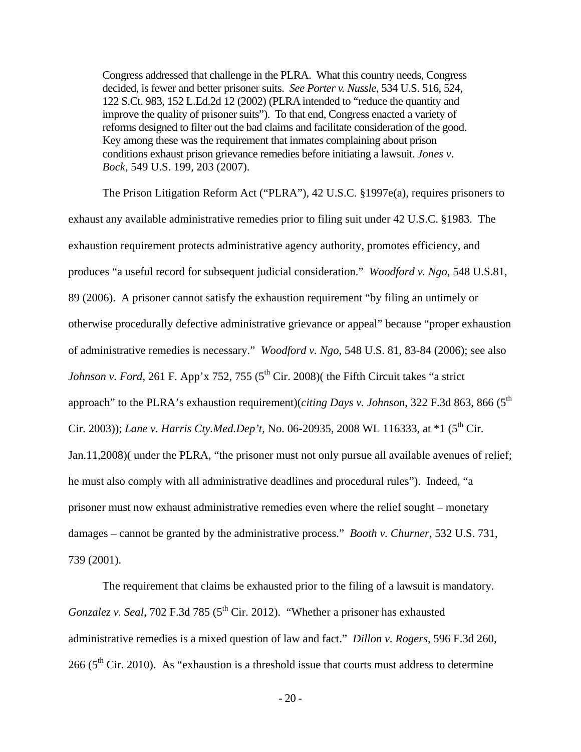Congress addressed that challenge in the PLRA. What this country needs, Congress decided, is fewer and better prisoner suits. *See Porter v. Nussle*, 534 U.S. 516, 524, 122 S.Ct. 983, 152 L.Ed.2d 12 (2002) (PLRA intended to "reduce the quantity and improve the quality of prisoner suits"). To that end, Congress enacted a variety of reforms designed to filter out the bad claims and facilitate consideration of the good. Key among these was the requirement that inmates complaining about prison conditions exhaust prison grievance remedies before initiating a lawsuit. *Jones v. Bock*, 549 U.S. 199, 203 (2007).

The Prison Litigation Reform Act ("PLRA"), 42 U.S.C. §1997e(a), requires prisoners to exhaust any available administrative remedies prior to filing suit under 42 U.S.C. §1983. The exhaustion requirement protects administrative agency authority, promotes efficiency, and produces "a useful record for subsequent judicial consideration." *Woodford v. Ngo*, 548 U.S.81, 89 (2006). A prisoner cannot satisfy the exhaustion requirement "by filing an untimely or otherwise procedurally defective administrative grievance or appeal" because "proper exhaustion of administrative remedies is necessary." *Woodford v. Ngo*, 548 U.S. 81, 83-84 (2006); see also *Johnson v. Ford*, 261 F. App'x 752, 755 ( $5<sup>th</sup>$  Cir. 2008)( the Fifth Circuit takes "a strict approach" to the PLRA's exhaustion requirement)(*citing Days v. Johnson*, 322 F.3d 863, 866 (5<sup>th</sup>) Cir. 2003)); *Lane v. Harris Cty.Med.Dep't*, No. 06-20935, 2008 WL 116333, at \*1 (5<sup>th</sup> Cir. Jan.11,2008)( under the PLRA, "the prisoner must not only pursue all available avenues of relief; he must also comply with all administrative deadlines and procedural rules"). Indeed, "a prisoner must now exhaust administrative remedies even where the relief sought – monetary damages – cannot be granted by the administrative process." *Booth v. Churner*, 532 U.S. 731, 739 (2001).

 The requirement that claims be exhausted prior to the filing of a lawsuit is mandatory. *Gonzalez v. Seal,* 702 F.3d 785 (5<sup>th</sup> Cir. 2012). "Whether a prisoner has exhausted administrative remedies is a mixed question of law and fact." *Dillon v. Rogers*, 596 F.3d 260, 266 ( $5<sup>th</sup>$  Cir. 2010). As "exhaustion is a threshold issue that courts must address to determine

- 20 -